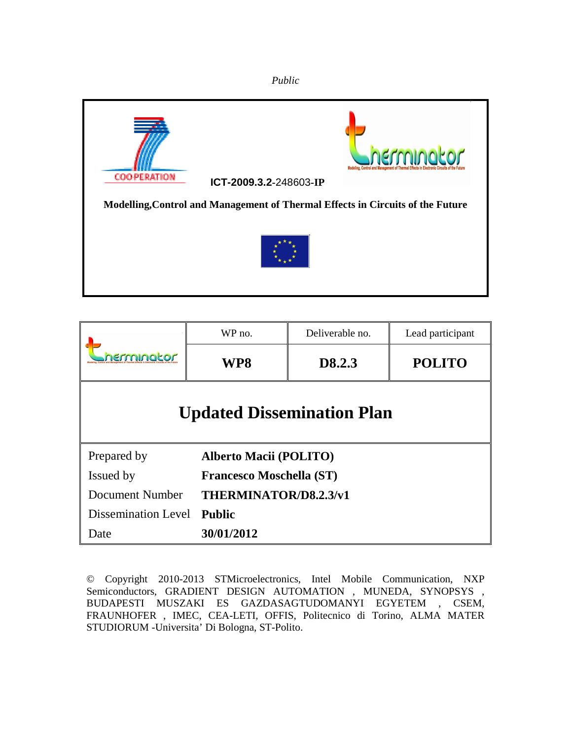*Public* 



|                                   | WP no.                          | Deliverable no. | Lead participant |  |  |
|-----------------------------------|---------------------------------|-----------------|------------------|--|--|
| erminator                         | WP8                             | D8.2.3          | <b>POLITO</b>    |  |  |
| <b>Updated Dissemination Plan</b> |                                 |                 |                  |  |  |
| Prepared by                       | <b>Alberto Macii (POLITO)</b>   |                 |                  |  |  |
| Issued by                         | <b>Francesco Moschella (ST)</b> |                 |                  |  |  |
| <b>Document Number</b>            | THERMINATOR/D8.2.3/v1           |                 |                  |  |  |
| Dissemination Level               | <b>Public</b>                   |                 |                  |  |  |
| Date                              | 30/01/2012                      |                 |                  |  |  |

© Copyright 2010-2013 STMicroelectronics, Intel Mobile Communication, NXP Semiconductors, GRADIENT DESIGN AUTOMATION , MUNEDA, SYNOPSYS , BUDAPESTI MUSZAKI ES GAZDASAGTUDOMANYI EGYETEM , CSEM, FRAUNHOFER , IMEC, CEA-LETI, OFFIS, Politecnico di Torino, ALMA MATER STUDIORUM -Universita' Di Bologna, ST-Polito.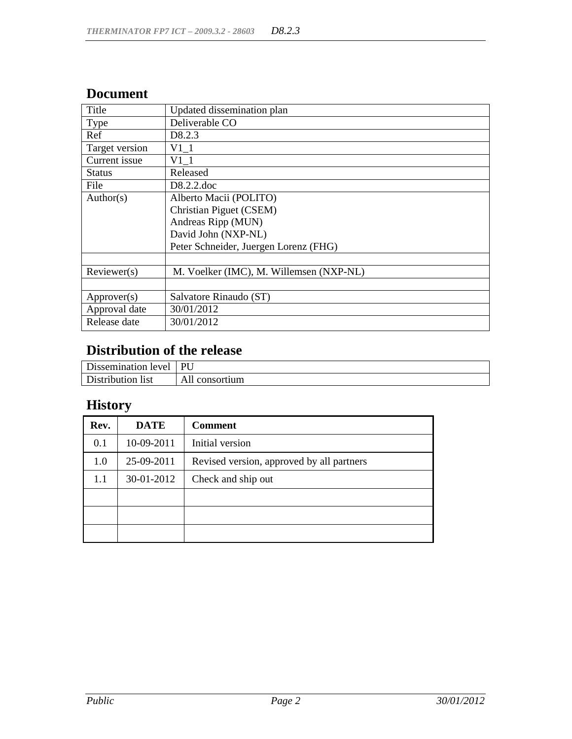# **Document**

| Title          | Updated dissemination plan              |  |
|----------------|-----------------------------------------|--|
| Type           | Deliverable CO                          |  |
| Ref            | D <sub>8.2.3</sub>                      |  |
| Target version | $V1$ 1                                  |  |
| Current issue  | $V1$ 1                                  |  |
| <b>Status</b>  | Released                                |  |
| File           | $D8.2.2$ .doc                           |  |
| Author(s)      | Alberto Macii (POLITO)                  |  |
|                | Christian Piguet (CSEM)                 |  |
|                | Andreas Ripp (MUN)                      |  |
|                | David John (NXP-NL)                     |  |
|                | Peter Schneider, Juergen Lorenz (FHG)   |  |
|                |                                         |  |
| Reviewer(s)    | M. Voelker (IMC), M. Willemsen (NXP-NL) |  |
|                |                                         |  |
| Approxer(s)    | Salvatore Rinaudo (ST)                  |  |
| Approval date  | 30/01/2012                              |  |
| Release date   | 30/01/2012                              |  |

# **Distribution of the release**

| Dissemination level | PU.            |
|---------------------|----------------|
| Distribution list   | All consortium |

# **History**

| Rev. | <b>DATE</b> | <b>Comment</b>                            |
|------|-------------|-------------------------------------------|
| 0.1  | 10-09-2011  | Initial version                           |
| 1.0  | 25-09-2011  | Revised version, approved by all partners |
| 1.1  | 30-01-2012  | Check and ship out                        |
|      |             |                                           |
|      |             |                                           |
|      |             |                                           |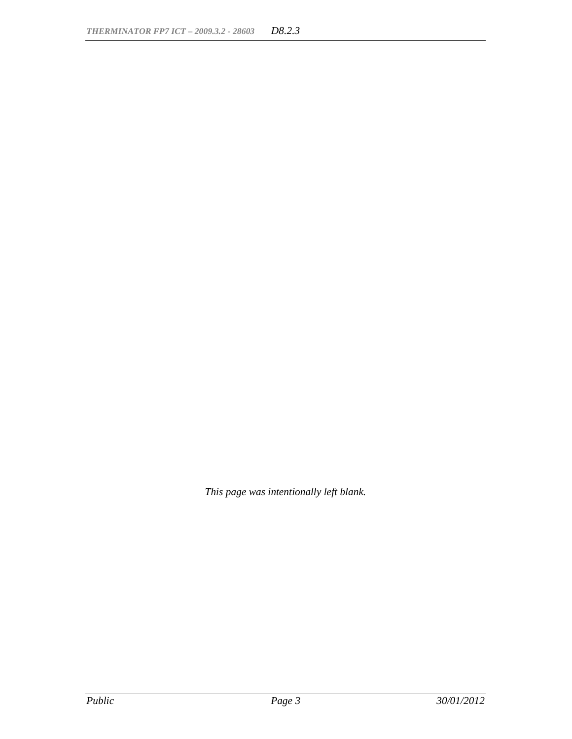*This page was intentionally left blank.*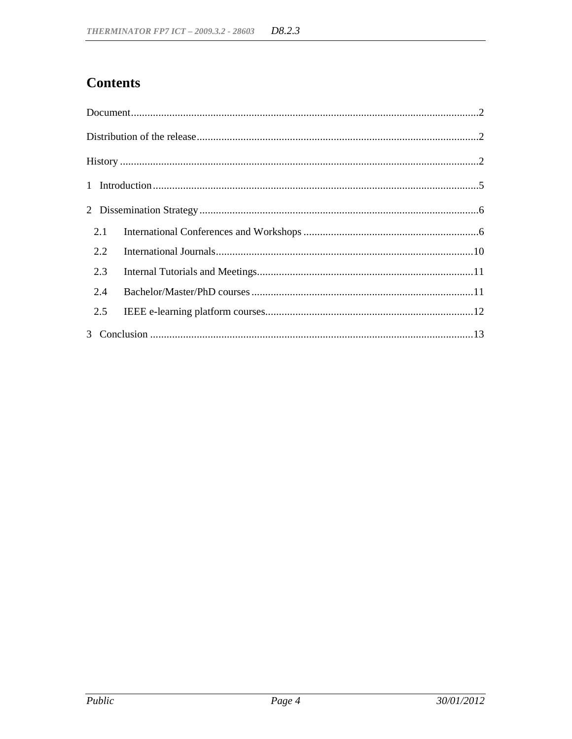# **Contents**

| 2.1 |  |  |
|-----|--|--|
| 2.2 |  |  |
| 2.3 |  |  |
| 2.4 |  |  |
| 2.5 |  |  |
|     |  |  |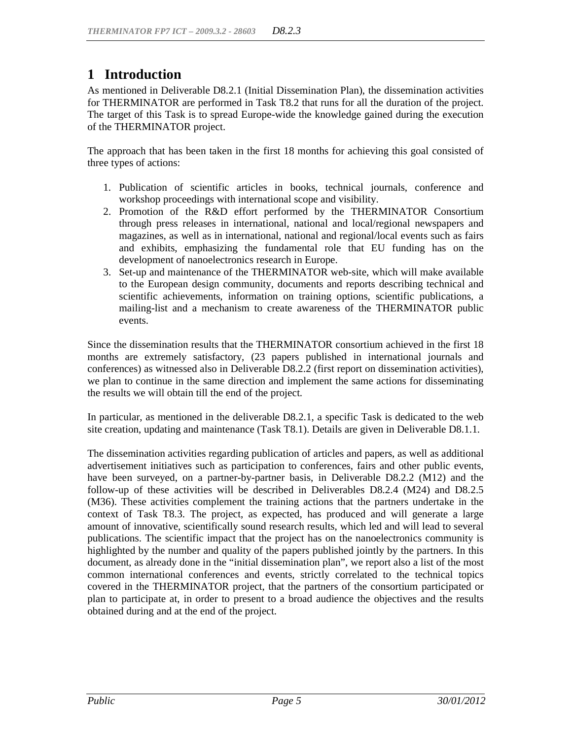# **1 Introduction**

As mentioned in Deliverable D8.2.1 (Initial Dissemination Plan), the dissemination activities for THERMINATOR are performed in Task T8.2 that runs for all the duration of the project. The target of this Task is to spread Europe-wide the knowledge gained during the execution of the THERMINATOR project.

The approach that has been taken in the first 18 months for achieving this goal consisted of three types of actions:

- 1. Publication of scientific articles in books, technical journals, conference and workshop proceedings with international scope and visibility.
- 2. Promotion of the R&D effort performed by the THERMINATOR Consortium through press releases in international, national and local/regional newspapers and magazines, as well as in international, national and regional/local events such as fairs and exhibits, emphasizing the fundamental role that EU funding has on the development of nanoelectronics research in Europe.
- 3. Set-up and maintenance of the THERMINATOR web-site, which will make available to the European design community, documents and reports describing technical and scientific achievements, information on training options, scientific publications, a mailing-list and a mechanism to create awareness of the THERMINATOR public events.

Since the dissemination results that the THERMINATOR consortium achieved in the first 18 months are extremely satisfactory, (23 papers published in international journals and conferences) as witnessed also in Deliverable D8.2.2 (first report on dissemination activities), we plan to continue in the same direction and implement the same actions for disseminating the results we will obtain till the end of the project.

In particular, as mentioned in the deliverable D8.2.1, a specific Task is dedicated to the web site creation, updating and maintenance (Task T8.1). Details are given in Deliverable D8.1.1.

The dissemination activities regarding publication of articles and papers, as well as additional advertisement initiatives such as participation to conferences, fairs and other public events, have been surveyed, on a partner-by-partner basis, in Deliverable D8.2.2 (M12) and the follow-up of these activities will be described in Deliverables D8.2.4 (M24) and D8.2.5 (M36). These activities complement the training actions that the partners undertake in the context of Task T8.3. The project, as expected, has produced and will generate a large amount of innovative, scientifically sound research results, which led and will lead to several publications. The scientific impact that the project has on the nanoelectronics community is highlighted by the number and quality of the papers published jointly by the partners. In this document, as already done in the "initial dissemination plan", we report also a list of the most common international conferences and events, strictly correlated to the technical topics covered in the THERMINATOR project, that the partners of the consortium participated or plan to participate at, in order to present to a broad audience the objectives and the results obtained during and at the end of the project.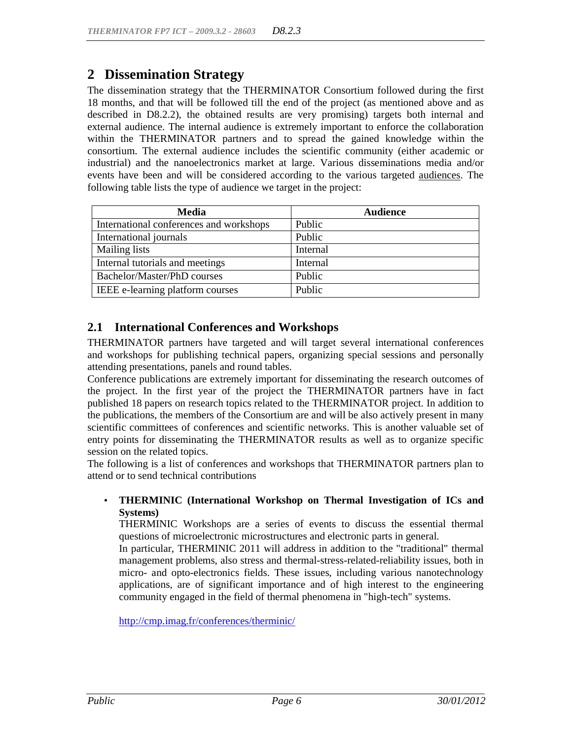## **2 Dissemination Strategy**

The dissemination strategy that the THERMINATOR Consortium followed during the first 18 months, and that will be followed till the end of the project (as mentioned above and as described in D8.2.2), the obtained results are very promising) targets both internal and external audience. The internal audience is extremely important to enforce the collaboration within the THERMINATOR partners and to spread the gained knowledge within the consortium. The external audience includes the scientific community (either academic or industrial) and the nanoelectronics market at large. Various disseminations media and/or events have been and will be considered according to the various targeted audiences. The following table lists the type of audience we target in the project:

| Media                                   | <b>Audience</b> |  |
|-----------------------------------------|-----------------|--|
| International conferences and workshops | Public          |  |
| International journals                  | Public          |  |
| <b>Mailing lists</b>                    | Internal        |  |
| Internal tutorials and meetings         | Internal        |  |
| Bachelor/Master/PhD courses             | Public          |  |
| IEEE e-learning platform courses        | Public          |  |

## **2.1 International Conferences and Workshops**

THERMINATOR partners have targeted and will target several international conferences and workshops for publishing technical papers, organizing special sessions and personally attending presentations, panels and round tables.

Conference publications are extremely important for disseminating the research outcomes of the project. In the first year of the project the THERMINATOR partners have in fact published 18 papers on research topics related to the THERMINATOR project. In addition to the publications, the members of the Consortium are and will be also actively present in many scientific committees of conferences and scientific networks. This is another valuable set of entry points for disseminating the THERMINATOR results as well as to organize specific session on the related topics.

The following is a list of conferences and workshops that THERMINATOR partners plan to attend or to send technical contributions

### • **THERMINIC (International Workshop on Thermal Investigation of ICs and Systems)**

THERMINIC Workshops are a series of events to discuss the essential thermal questions of microelectronic microstructures and electronic parts in general.

In particular, THERMINIC 2011 will address in addition to the "traditional" thermal management problems, also stress and thermal-stress-related-reliability issues, both in micro- and opto-electronics fields. These issues, including various nanotechnology applications, are of significant importance and of high interest to the engineering community engaged in the field of thermal phenomena in "high-tech" systems.

http://cmp.imag.fr/conferences/therminic/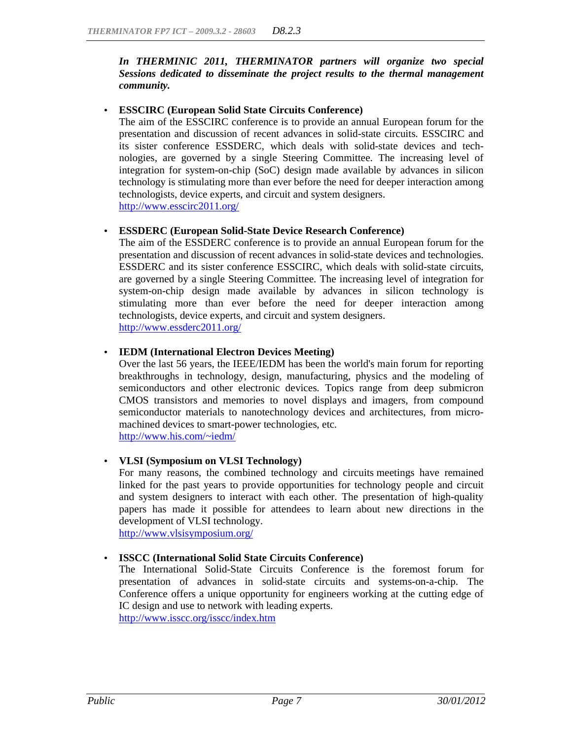#### *In THERMINIC 2011, THERMINATOR partners will organize two special Sessions dedicated to disseminate the project results to the thermal management community.*

#### • **ESSCIRC (European Solid State Circuits Conference)**

The aim of the ESSCIRC conference is to provide an annual European forum for the presentation and discussion of recent advances in solid-state circuits. ESSCIRC and its sister conference ESSDERC, which deals with solid-state devices and technologies, are governed by a single Steering Committee. The increasing level of integration for system-on-chip (SoC) design made available by advances in silicon technology is stimulating more than ever before the need for deeper interaction among technologists, device experts, and circuit and system designers. http://www.esscirc2011.org/

#### • **ESSDERC (European Solid-State Device Research Conference)**

The aim of the ESSDERC conference is to provide an annual European forum for the presentation and discussion of recent advances in solid-state devices and technologies. ESSDERC and its sister conference ESSCIRC, which deals with solid-state circuits, are governed by a single Steering Committee. The increasing level of integration for system-on-chip design made available by advances in silicon technology is stimulating more than ever before the need for deeper interaction among technologists, device experts, and circuit and system designers. http://www.essderc2011.org/

#### • **IEDM (International Electron Devices Meeting)**

Over the last 56 years, the IEEE/IEDM has been the world's main forum for reporting breakthroughs in technology, design, manufacturing, physics and the modeling of semiconductors and other electronic devices. Topics range from deep submicron CMOS transistors and memories to novel displays and imagers, from compound semiconductor materials to nanotechnology devices and architectures, from micromachined devices to smart-power technologies, etc. http://www.his.com/~iedm/

### • **VLSI (Symposium on VLSI Technology)**

For many reasons, the combined technology and circuits meetings have remained linked for the past years to provide opportunities for technology people and circuit and system designers to interact with each other. The presentation of high-quality papers has made it possible for attendees to learn about new directions in the development of VLSI technology.

http://www.vlsisymposium.org/

#### • **ISSCC (International Solid State Circuits Conference)**

The International Solid-State Circuits Conference is the foremost forum for presentation of advances in solid-state circuits and systems-on-a-chip. The Conference offers a unique opportunity for engineers working at the cutting edge of IC design and use to network with leading experts. http://www.isscc.org/isscc/index.htm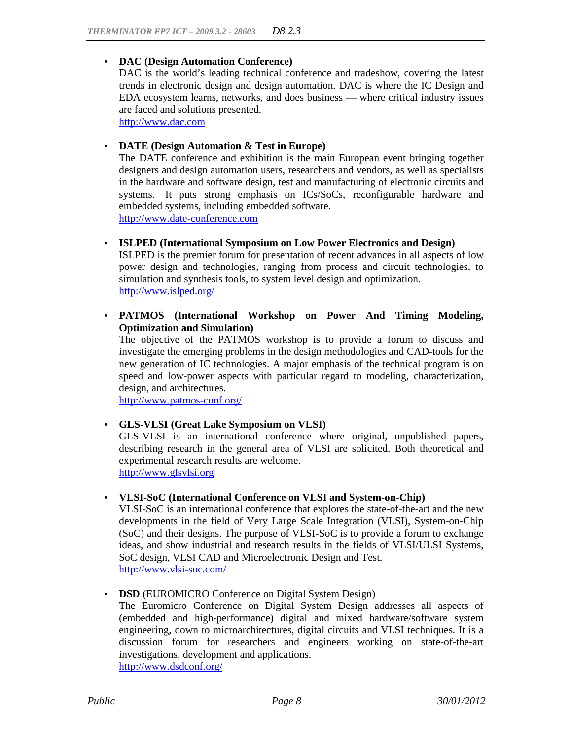### • **DAC (Design Automation Conference)**

DAC is the world's leading technical conference and tradeshow, covering the latest trends in electronic design and design automation. DAC is where the IC Design and EDA ecosystem learns, networks, and does business — where critical industry issues are faced and solutions presented.

http://www.dac.com

### • **DATE (Design Automation & Test in Europe)**

The DATE conference and exhibition is the main European event bringing together designers and design automation users, researchers and vendors, as well as specialists in the hardware and software design, test and manufacturing of electronic circuits and systems. It puts strong emphasis on ICs/SoCs, reconfigurable hardware and embedded systems, including embedded software. http://www.date-conference.com

#### • **ISLPED (International Symposium on Low Power Electronics and Design)**

ISLPED is the premier forum for presentation of recent advances in all aspects of low power design and technologies, ranging from process and circuit technologies, to simulation and synthesis tools, to system level design and optimization. http://www.islped.org/

## • **PATMOS (International Workshop on Power And Timing Modeling, Optimization and Simulation)**

The objective of the PATMOS workshop is to provide a forum to discuss and investigate the emerging problems in the design methodologies and CAD-tools for the new generation of IC technologies. A major emphasis of the technical program is on speed and low-power aspects with particular regard to modeling, characterization, design, and architectures.

http://www.patmos-conf.org/

#### • **GLS-VLSI (Great Lake Symposium on VLSI)**

GLS-VLSI is an international conference where original, unpublished papers, describing research in the general area of VLSI are solicited. Both theoretical and experimental research results are welcome.

http://www.glsvlsi.org

#### • **VLSI-SoC (International Conference on VLSI and System-on-Chip)**

VLSI-SoC is an international conference that explores the state-of-the-art and the new developments in the field of Very Large Scale Integration (VLSI), System-on-Chip (SoC) and their designs. The purpose of VLSI-SoC is to provide a forum to exchange ideas, and show industrial and research results in the fields of VLSI/ULSI Systems, SoC design, VLSI CAD and Microelectronic Design and Test. http://www.vlsi-soc.com/

### • **DSD** (EUROMICRO Conference on Digital System Design)

The Euromicro Conference on Digital System Design addresses all aspects of (embedded and high-performance) digital and mixed hardware/software system engineering, down to microarchitectures, digital circuits and VLSI techniques. It is a discussion forum for researchers and engineers working on state-of-the-art investigations, development and applications. http://www.dsdconf.org/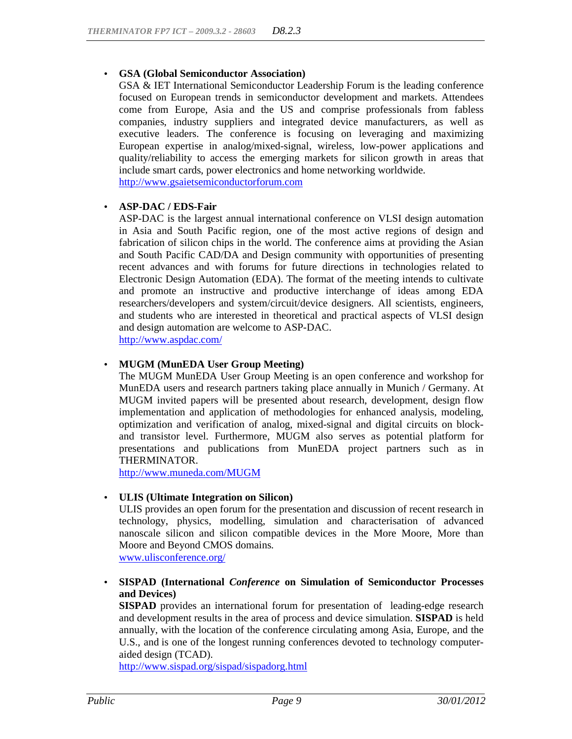#### • **GSA (Global Semiconductor Association)**

GSA & IET International Semiconductor Leadership Forum is the leading conference focused on European trends in semiconductor development and markets. Attendees come from Europe, Asia and the US and comprise professionals from fabless companies, industry suppliers and integrated device manufacturers, as well as executive leaders. The conference is focusing on leveraging and maximizing European expertise in analog/mixed-signal, wireless, low-power applications and quality/reliability to access the emerging markets for silicon growth in areas that include smart cards, power electronics and home networking worldwide. http://www.gsaietsemiconductorforum.com

## • **ASP-DAC / EDS-Fair**

ASP-DAC is the largest annual international conference on VLSI design automation in Asia and South Pacific region, one of the most active regions of design and fabrication of silicon chips in the world. The conference aims at providing the Asian and South Pacific CAD/DA and Design community with opportunities of presenting recent advances and with forums for future directions in technologies related to Electronic Design Automation (EDA). The format of the meeting intends to cultivate and promote an instructive and productive interchange of ideas among EDA researchers/developers and system/circuit/device designers. All scientists, engineers, and students who are interested in theoretical and practical aspects of VLSI design and design automation are welcome to ASP-DAC.

http://www.aspdac.com/

### • **MUGM (MunEDA User Group Meeting)**

The MUGM MunEDA User Group Meeting is an open conference and workshop for MunEDA users and research partners taking place annually in Munich / Germany. At MUGM invited papers will be presented about research, development, design flow implementation and application of methodologies for enhanced analysis, modeling, optimization and verification of analog, mixed-signal and digital circuits on blockand transistor level. Furthermore, MUGM also serves as potential platform for presentations and publications from MunEDA project partners such as in THERMINATOR.

http://www.muneda.com/MUGM

#### • **ULIS (Ultimate Integration on Silicon)**

ULIS provides an open forum for the presentation and discussion of recent research in technology, physics, modelling, simulation and characterisation of advanced nanoscale silicon and silicon compatible devices in the More Moore, More than Moore and Beyond CMOS domains.

www.ulisconference.org/

#### • **SISPAD (International** *Conference* **on Simulation of Semiconductor Processes and Devices)**

**SISPAD** provides an international forum for presentation of leading-edge research and development results in the area of process and device simulation. **SISPAD** is held annually, with the location of the conference circulating among Asia, Europe, and the U.S., and is one of the longest running conferences devoted to technology computeraided design (TCAD).

http://www.sispad.org/sispad/sispadorg.html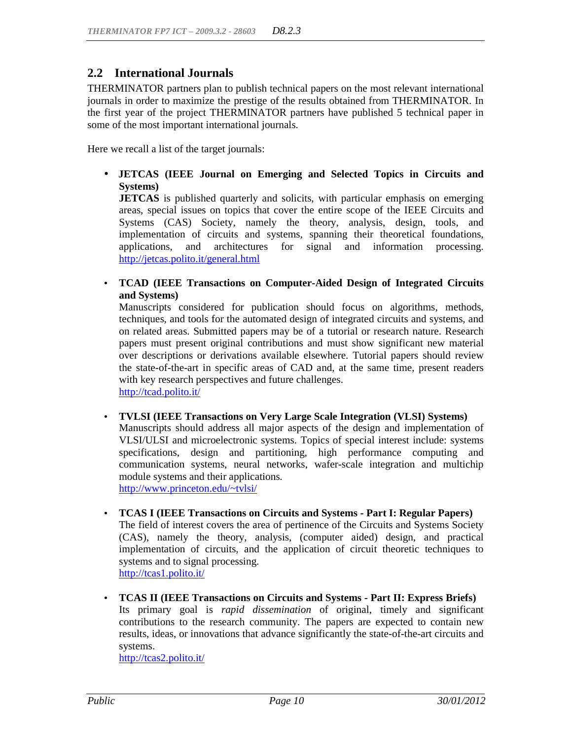## **2.2 International Journals**

THERMINATOR partners plan to publish technical papers on the most relevant international journals in order to maximize the prestige of the results obtained from THERMINATOR. In the first year of the project THERMINATOR partners have published 5 technical paper in some of the most important international journals.

Here we recall a list of the target journals:

• **JETCAS (IEEE Journal on Emerging and Selected Topics in Circuits and Systems)** 

**JETCAS** is published quarterly and solicits, with particular emphasis on emerging areas, special issues on topics that cover the entire scope of the IEEE Circuits and Systems (CAS) Society, namely the theory, analysis, design, tools, and implementation of circuits and systems, spanning their theoretical foundations, applications, and architectures for signal and information processing. http://jetcas.polito.it/general.html

• **TCAD (IEEE Transactions on Computer-Aided Design of Integrated Circuits and Systems)**

Manuscripts considered for publication should focus on algorithms, methods, techniques, and tools for the automated design of integrated circuits and systems, and on related areas. Submitted papers may be of a tutorial or research nature. Research papers must present original contributions and must show significant new material over descriptions or derivations available elsewhere. Tutorial papers should review the state-of-the-art in specific areas of CAD and, at the same time, present readers with key research perspectives and future challenges. http://tcad.polito.it/

• **TVLSI (IEEE Transactions on Very Large Scale Integration (VLSI) Systems)** 

Manuscripts should address all major aspects of the design and implementation of VLSI/ULSI and microelectronic systems. Topics of special interest include: systems specifications, design and partitioning, high performance computing and communication systems, neural networks, wafer-scale integration and multichip module systems and their applications.

http://www.princeton.edu/~tvlsi/

- **TCAS I (IEEE Transactions on Circuits and Systems Part I: Regular Papers)** The field of interest covers the area of pertinence of the Circuits and Systems Society (CAS), namely the theory, analysis, (computer aided) design, and practical implementation of circuits, and the application of circuit theoretic techniques to systems and to signal processing. http://tcas1.polito.it/
- **TCAS II (IEEE Transactions on Circuits and Systems Part II: Express Briefs)** Its primary goal is *rapid dissemination* of original, timely and significant contributions to the research community. The papers are expected to contain new results, ideas, or innovations that advance significantly the state-of-the-art circuits and systems.

http://tcas2.polito.it/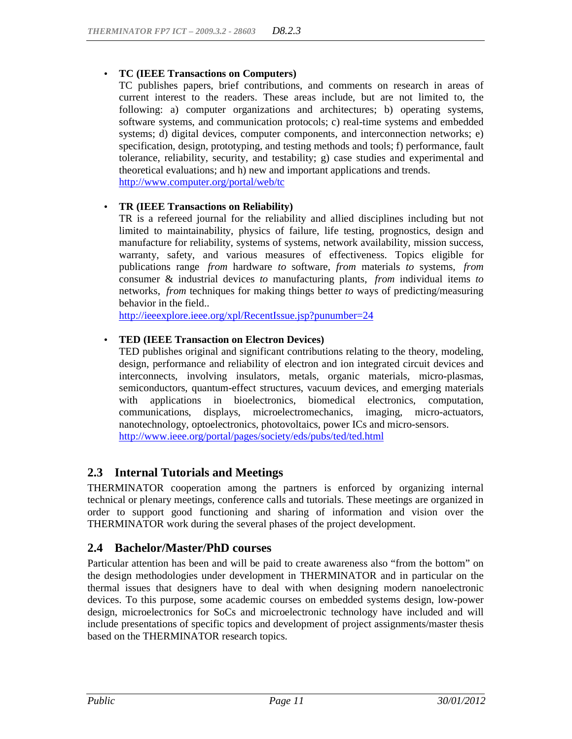## • **TC (IEEE Transactions on Computers)**

TC publishes papers, brief contributions, and comments on research in areas of current interest to the readers. These areas include, but are not limited to, the following: a) computer organizations and architectures; b) operating systems, software systems, and communication protocols; c) real-time systems and embedded systems; d) digital devices, computer components, and interconnection networks; e) specification, design, prototyping, and testing methods and tools; f) performance, fault tolerance, reliability, security, and testability; g) case studies and experimental and theoretical evaluations; and h) new and important applications and trends. http://www.computer.org/portal/web/tc

### • **TR (IEEE Transactions on Reliability)**

TR is a refereed journal for the reliability and allied disciplines including but not limited to maintainability, physics of failure, life testing, prognostics, design and manufacture for reliability, systems of systems, network availability, mission success, warranty, safety, and various measures of effectiveness. Topics eligible for publications range *from* hardware *to* software, *from* materials *to* systems, *from* consumer & industrial devices *to* manufacturing plants, *from* individual items *to* networks, *from* techniques for making things better *to* ways of predicting/measuring behavior in the field..

http://ieeexplore.ieee.org/xpl/RecentIssue.jsp?punumber=24

## • **TED (IEEE Transaction on Electron Devices)**

TED publishes original and significant contributions relating to the theory, modeling, design, performance and reliability of electron and ion integrated circuit devices and interconnects, involving insulators, metals, organic materials, micro-plasmas, semiconductors, quantum-effect structures, vacuum devices, and emerging materials with applications in bioelectronics, biomedical electronics, computation, communications, displays, microelectromechanics, imaging, micro-actuators, nanotechnology, optoelectronics, photovoltaics, power ICs and micro-sensors. http://www.ieee.org/portal/pages/society/eds/pubs/ted/ted.html

## **2.3 Internal Tutorials and Meetings**

THERMINATOR cooperation among the partners is enforced by organizing internal technical or plenary meetings, conference calls and tutorials. These meetings are organized in order to support good functioning and sharing of information and vision over the THERMINATOR work during the several phases of the project development.

## **2.4 Bachelor/Master/PhD courses**

Particular attention has been and will be paid to create awareness also "from the bottom" on the design methodologies under development in THERMINATOR and in particular on the thermal issues that designers have to deal with when designing modern nanoelectronic devices. To this purpose, some academic courses on embedded systems design, low-power design, microelectronics for SoCs and microelectronic technology have included and will include presentations of specific topics and development of project assignments/master thesis based on the THERMINATOR research topics.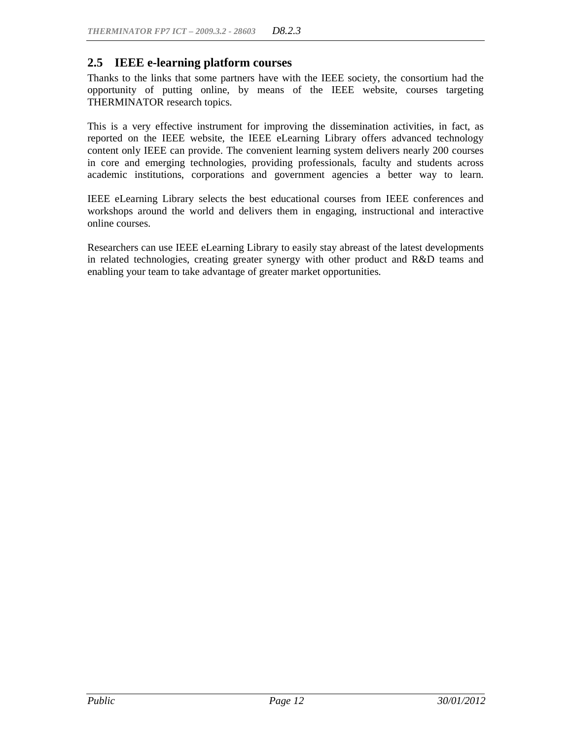## **2.5 IEEE e-learning platform courses**

Thanks to the links that some partners have with the IEEE society, the consortium had the opportunity of putting online, by means of the IEEE website, courses targeting THERMINATOR research topics.

This is a very effective instrument for improving the dissemination activities, in fact, as reported on the IEEE website, the IEEE eLearning Library offers advanced technology content only IEEE can provide. The convenient learning system delivers nearly 200 courses in core and emerging technologies, providing professionals, faculty and students across academic institutions, corporations and government agencies a better way to learn.

IEEE eLearning Library selects the best educational courses from IEEE conferences and workshops around the world and delivers them in engaging, instructional and interactive online courses.

Researchers can use IEEE eLearning Library to easily stay abreast of the latest developments in related technologies, creating greater synergy with other product and R&D teams and enabling your team to take advantage of greater market opportunities.